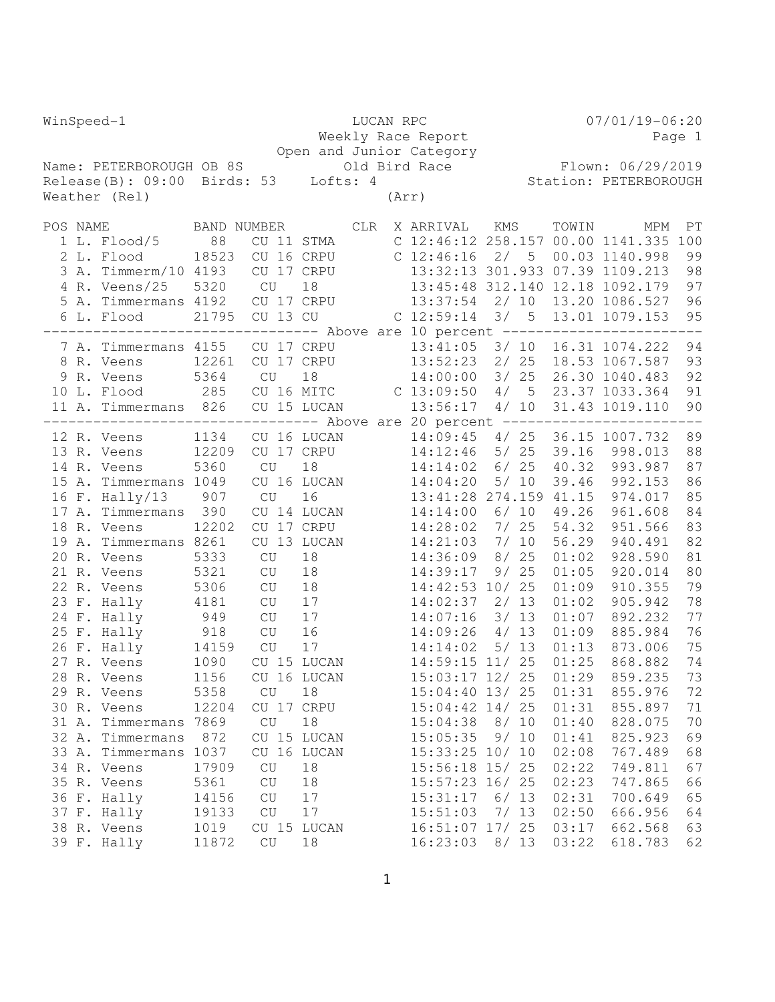| WinSpeed-1              |                                                                               |       | LUCAN RPC                                           |             |       |  |                                 | $07/01/19-06:20$ |                                 |       |                                   |     |
|-------------------------|-------------------------------------------------------------------------------|-------|-----------------------------------------------------|-------------|-------|--|---------------------------------|------------------|---------------------------------|-------|-----------------------------------|-----|
|                         |                                                                               |       | Weekly Race Report                                  |             |       |  |                                 |                  |                                 |       | Page 1                            |     |
|                         |                                                                               |       |                                                     |             |       |  | Open and Junior Category        |                  |                                 |       |                                   |     |
|                         | Name: PETERBOROUGH OB 8S                                                      |       |                                                     |             |       |  |                                 |                  | Old Bird Race Flown: 06/29/2019 |       |                                   |     |
|                         | Release(B): 09:00 Birds: 53 Lofts: 4                                          |       |                                                     |             |       |  |                                 |                  |                                 |       | Station: PETERBOROUGH             |     |
|                         | Weather (Rel)                                                                 |       |                                                     |             | (Arr) |  |                                 |                  |                                 |       |                                   |     |
|                         |                                                                               |       |                                                     |             |       |  |                                 |                  |                                 |       |                                   |     |
| POS NAME<br>BAND NUMBER |                                                                               |       |                                                     |             | CLR   |  | X ARRIVAL                       |                  | KMS                             | TOWIN | MPM                               | PT  |
|                         | 1 L. Flood/5                                                                  | 88    | CU 11 STMA                                          |             |       |  |                                 |                  |                                 |       | C 12:46:12 258.157 00.00 1141.335 | 100 |
|                         | 2 L. Flood                                                                    | 18523 | CU 16 CRPU                                          |             |       |  | $C$ 12:46:16 2/ 5               |                  |                                 |       | 00.03 1140.998                    | 99  |
|                         | 3 A. Timmerm/10 4193                                                          |       | CU 17 CRPU                                          |             |       |  | 13:32:13 301.933 07.39 1109.213 |                  |                                 |       |                                   | 98  |
|                         | 4 R. Veens/25                                                                 | 5320  | <b>CU</b>                                           | 18          |       |  | 13:45:48 312.140 12.18 1092.179 |                  |                                 |       |                                   | 97  |
|                         | 5 A. Timmermans 4192                                                          |       | CU 17 CRPU                                          |             |       |  |                                 |                  |                                 |       | 13:37:54 2/ 10 13.20 1086.527     | 96  |
|                         | 6 L. Flood                                                                    | 21795 | CU 13 CU                                            |             |       |  | $C$ 12:59:14                    |                  |                                 |       | 3/ 5 13.01 1079.153               | 95  |
|                         | ------------------------------ Above are 10 percent ----------------          |       |                                                     |             |       |  |                                 |                  |                                 |       |                                   |     |
|                         | 7 A. Timmermans 4155 CU 17 CRPU                                               |       |                                                     |             |       |  |                                 |                  |                                 |       | 13:41:05 3/ 10 16.31 1074.222     | 94  |
|                         | 8 R. Veens                                                                    | 12261 | CU 17 CRPU                                          |             |       |  |                                 |                  |                                 |       | 13:52:23 2/ 25 18.53 1067.587     | 93  |
|                         | 9 R. Veens                                                                    | 5364  | <b>CU</b>                                           | 18          |       |  | $14:00:00$ $3/25$               |                  |                                 |       | 26.30 1040.483                    | 92  |
|                         | 10 L. Flood                                                                   | 285   | CU 16 MITC                                          |             |       |  | $C$ 13:09:50 4/ 5               |                  |                                 |       | 23.37 1033.364                    | 91  |
|                         | 11 A. Timmermans 826                                                          |       | CU 15 LUCAN                                         |             |       |  | 13:56:17                        |                  | 4/10                            |       | 31.43 1019.110                    | 90  |
|                         | ------------------------------- Above are 20 percent ------------------------ |       |                                                     |             |       |  |                                 |                  |                                 |       |                                   |     |
|                         | 12 R. Veens                                                                   | 1134  | CU 16 LUCAN                                         |             |       |  |                                 |                  |                                 |       | 14:09:45 4/ 25 36.15 1007.732     | 89  |
|                         | 13 R. Veens                                                                   | 12209 | CU 17 CRPU                                          |             |       |  |                                 |                  |                                 |       | 14:12:46 5/ 25 39.16 998.013      | 88  |
|                         | 14 R. Veens                                                                   | 5360  | <b>CU</b>                                           | 18          |       |  | 14:14:02                        |                  | $6/25$                          | 40.32 | 993.987                           | 87  |
|                         | 15 A. Timmermans 1049                                                         |       | CU 16 LUCAN                                         |             |       |  | 14:04:20                        |                  | 5/10                            | 39.46 | 992.153                           | 86  |
|                         | 16 F. Hally/13                                                                | 907   | <b>CU</b>                                           | 16          |       |  | 13:41:28 274.159 41.15          |                  |                                 |       | 974.017                           | 85  |
|                         | 17 A. Timmermans 390                                                          |       |                                                     | CU 14 LUCAN |       |  | $14:14:00$ 6/ 10                |                  |                                 | 49.26 | 961.608                           | 84  |
|                         | 18 R. Veens                                                                   | 12202 | CU 17 CRPU                                          |             |       |  | 14:28:02                        |                  | 7/25                            | 54.32 | 951.566                           | 83  |
|                         | 19 A. Timmermans 8261                                                         |       |                                                     | CU 13 LUCAN |       |  | 14:21:03                        | 7/10             |                                 | 56.29 | 940.491                           | 82  |
|                         | 20 R. Veens                                                                   | 5333  | $\mathrm{CU}% _{H}=\mathrm{GL}_{2}\times\mathbb{C}$ | 18          |       |  | 14:36:09                        | 8/25             |                                 | 01:02 | 928.590                           | 81  |
|                         | 21 R. Veens                                                                   | 5321  | $\mathrm{CU}% _{H}=\mathrm{GL}_{2}\times\mathbb{C}$ | 18          |       |  | 14:39:17                        | 9/25             |                                 | 01:05 | 920.014                           | 80  |
|                         | 22 R. Veens                                                                   | 5306  | CU                                                  | 18          |       |  | 14:42:53 10/ 25                 |                  |                                 | 01:09 | 910.355                           | 79  |
|                         | 23 F. Hally 4181                                                              |       | CU                                                  | 17          |       |  | 14:02:37                        | 2/13             |                                 | 01:02 | 905.942                           | 78  |
|                         | 24 F. Hally                                                                   | 949   | CU                                                  | 17          |       |  | 14:07:16                        | 3/13             |                                 | 01:07 | 892.232                           | 77  |
|                         | 25 F. Hally 918                                                               |       | $\mathrm{CU}% _{H}=\mathrm{GL}_{2}\times\mathbb{C}$ | 16          |       |  | 14:09:26                        | 4/13             |                                 | 01:09 | 885.984                           | 76  |
|                         | 26 F. Hally 14159 CU                                                          |       |                                                     | 17          |       |  | 14:14:02                        |                  | 5/13                            | 01:13 | 873.006                           | 75  |
|                         | 27 R. Veens                                                                   | 1090  | CU 15 LUCAN                                         |             |       |  | $14:59:15$ $11/25$              |                  |                                 | 01:25 | 868.882                           | 74  |
|                         | 28 R. Veens                                                                   | 1156  | CU 16 LUCAN                                         |             |       |  | 15:03:17 12/ 25                 |                  |                                 | 01:29 | 859.235                           | 73  |
|                         | 29 R. Veens                                                                   | 5358  | CU                                                  | 18          |       |  | 15:04:40 13/ 25                 |                  |                                 | 01:31 | 855.976                           | 72  |
|                         | 30 R. Veens                                                                   | 12204 | CU 17 CRPU                                          |             |       |  | $15:04:42$ 14/ 25               |                  |                                 | 01:31 | 855.897                           | 71  |
|                         | 31 A. Timmermans 7869                                                         |       | $\operatorname{\sf CU}$                             | 18          |       |  | 15:04:38                        | 8/10             |                                 | 01:40 | 828.075                           | 70  |
|                         | 32 A. Timmermans                                                              | 872   |                                                     | CU 15 LUCAN |       |  | 15:05:35                        | 9/10             |                                 | 01:41 | 825.923                           | 69  |
|                         | 33 A. Timmermans 1037                                                         |       |                                                     | CU 16 LUCAN |       |  | 15:33:25 10/ 10                 |                  |                                 | 02:08 | 767.489                           | 68  |
|                         | 34 R. Veens                                                                   | 17909 | CU                                                  | 18          |       |  | 15:56:18 15/ 25                 |                  |                                 | 02:22 | 749.811                           | 67  |
|                         | 35 R. Veens                                                                   | 5361  | CU                                                  | 18          |       |  | 15:57:23 16/ 25                 |                  |                                 | 02:23 | 747.865                           | 66  |
|                         | 36 F. Hally                                                                   | 14156 | CU                                                  | 17          |       |  | 15:31:17                        | 6/13             |                                 | 02:31 | 700.649                           | 65  |
|                         | 37 F. Hally                                                                   | 19133 | $\operatorname{\sf CU}$                             | 17          |       |  | 15:51:03                        | 7/13             |                                 | 02:50 | 666.956                           | 64  |
|                         | 38 R. Veens                                                                   | 1019  |                                                     | CU 15 LUCAN |       |  | 16:51:07 17/ 25                 |                  |                                 | 03:17 | 662.568                           | 63  |
|                         | 39 F. Hally                                                                   | 11872 | $\operatorname{\sf CU}$                             | 18          |       |  | $16:23:03$ 8/ 13                |                  |                                 | 03:22 | 618.783                           | 62  |